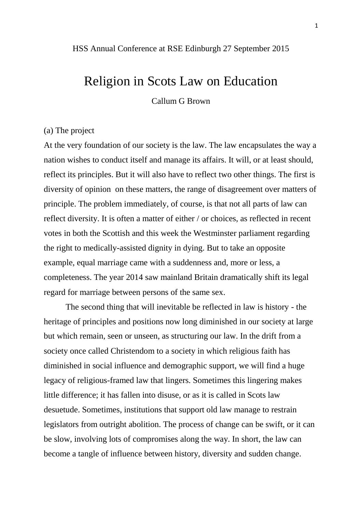### HSS Annual Conference at RSE Edinburgh 27 September 2015

# Religion in Scots Law on Education

Callum G Brown

## (a) The project

At the very foundation of our society is the law. The law encapsulates the way a nation wishes to conduct itself and manage its affairs. It will, or at least should, reflect its principles. But it will also have to reflect two other things. The first is diversity of opinion on these matters, the range of disagreement over matters of principle. The problem immediately, of course, is that not all parts of law can reflect diversity. It is often a matter of either / or choices, as reflected in recent votes in both the Scottish and this week the Westminster parliament regarding the right to medically-assisted dignity in dying. But to take an opposite example, equal marriage came with a suddenness and, more or less, a completeness. The year 2014 saw mainland Britain dramatically shift its legal regard for marriage between persons of the same sex.

The second thing that will inevitable be reflected in law is history - the heritage of principles and positions now long diminished in our society at large but which remain, seen or unseen, as structuring our law. In the drift from a society once called Christendom to a society in which religious faith has diminished in social influence and demographic support, we will find a huge legacy of religious-framed law that lingers. Sometimes this lingering makes little difference; it has fallen into disuse, or as it is called in Scots law desuetude. Sometimes, institutions that support old law manage to restrain legislators from outright abolition. The process of change can be swift, or it can be slow, involving lots of compromises along the way. In short, the law can become a tangle of influence between history, diversity and sudden change.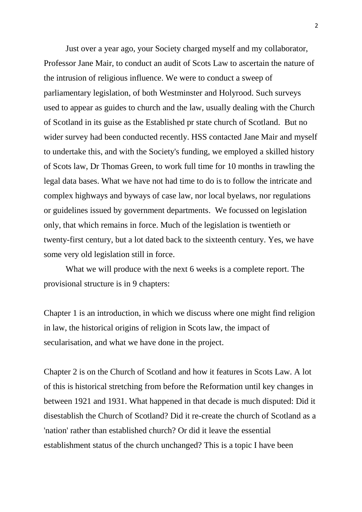Just over a year ago, your Society charged myself and my collaborator, Professor Jane Mair, to conduct an audit of Scots Law to ascertain the nature of the intrusion of religious influence. We were to conduct a sweep of parliamentary legislation, of both Westminster and Holyrood. Such surveys used to appear as guides to church and the law, usually dealing with the Church of Scotland in its guise as the Established pr state church of Scotland. But no wider survey had been conducted recently. HSS contacted Jane Mair and myself to undertake this, and with the Society's funding, we employed a skilled history of Scots law, Dr Thomas Green, to work full time for 10 months in trawling the legal data bases. What we have not had time to do is to follow the intricate and complex highways and byways of case law, nor local byelaws, nor regulations or guidelines issued by government departments. We focussed on legislation only, that which remains in force. Much of the legislation is twentieth or twenty-first century, but a lot dated back to the sixteenth century. Yes, we have some very old legislation still in force.

What we will produce with the next 6 weeks is a complete report. The provisional structure is in 9 chapters:

Chapter 1 is an introduction, in which we discuss where one might find religion in law, the historical origins of religion in Scots law, the impact of secularisation, and what we have done in the project.

Chapter 2 is on the Church of Scotland and how it features in Scots Law. A lot of this is historical stretching from before the Reformation until key changes in between 1921 and 1931. What happened in that decade is much disputed: Did it disestablish the Church of Scotland? Did it re-create the church of Scotland as a 'nation' rather than established church? Or did it leave the essential establishment status of the church unchanged? This is a topic I have been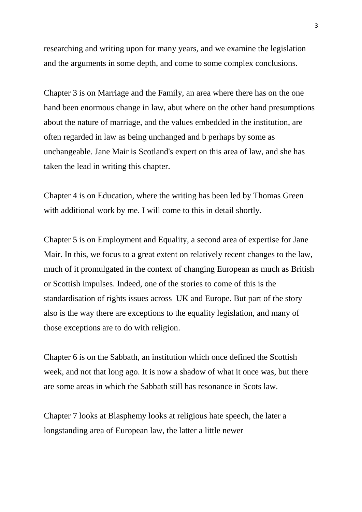researching and writing upon for many years, and we examine the legislation and the arguments in some depth, and come to some complex conclusions.

Chapter 3 is on Marriage and the Family, an area where there has on the one hand been enormous change in law, abut where on the other hand presumptions about the nature of marriage, and the values embedded in the institution, are often regarded in law as being unchanged and b perhaps by some as unchangeable. Jane Mair is Scotland's expert on this area of law, and she has taken the lead in writing this chapter.

Chapter 4 is on Education, where the writing has been led by Thomas Green with additional work by me. I will come to this in detail shortly.

Chapter 5 is on Employment and Equality, a second area of expertise for Jane Mair. In this, we focus to a great extent on relatively recent changes to the law, much of it promulgated in the context of changing European as much as British or Scottish impulses. Indeed, one of the stories to come of this is the standardisation of rights issues across UK and Europe. But part of the story also is the way there are exceptions to the equality legislation, and many of those exceptions are to do with religion.

Chapter 6 is on the Sabbath, an institution which once defined the Scottish week, and not that long ago. It is now a shadow of what it once was, but there are some areas in which the Sabbath still has resonance in Scots law.

Chapter 7 looks at Blasphemy looks at religious hate speech, the later a longstanding area of European law, the latter a little newer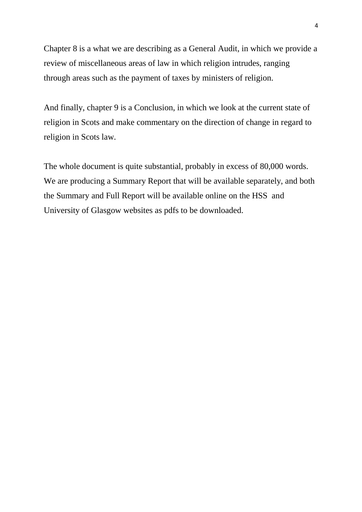Chapter 8 is a what we are describing as a General Audit, in which we provide a review of miscellaneous areas of law in which religion intrudes, ranging through areas such as the payment of taxes by ministers of religion.

And finally, chapter 9 is a Conclusion, in which we look at the current state of religion in Scots and make commentary on the direction of change in regard to religion in Scots law.

The whole document is quite substantial, probably in excess of 80,000 words. We are producing a Summary Report that will be available separately, and both the Summary and Full Report will be available online on the HSS and University of Glasgow websites as pdfs to be downloaded.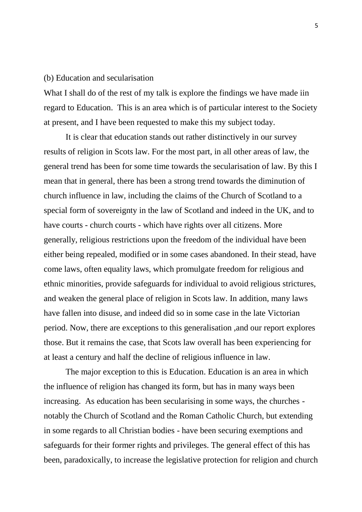## (b) Education and secularisation

What I shall do of the rest of my talk is explore the findings we have made iin regard to Education. This is an area which is of particular interest to the Society at present, and I have been requested to make this my subject today.

It is clear that education stands out rather distinctively in our survey results of religion in Scots law. For the most part, in all other areas of law, the general trend has been for some time towards the secularisation of law. By this I mean that in general, there has been a strong trend towards the diminution of church influence in law, including the claims of the Church of Scotland to a special form of sovereignty in the law of Scotland and indeed in the UK, and to have courts - church courts - which have rights over all citizens. More generally, religious restrictions upon the freedom of the individual have been either being repealed, modified or in some cases abandoned. In their stead, have come laws, often equality laws, which promulgate freedom for religious and ethnic minorities, provide safeguards for individual to avoid religious strictures, and weaken the general place of religion in Scots law. In addition, many laws have fallen into disuse, and indeed did so in some case in the late Victorian period. Now, there are exceptions to this generalisation ,and our report explores those. But it remains the case, that Scots law overall has been experiencing for at least a century and half the decline of religious influence in law.

The major exception to this is Education. Education is an area in which the influence of religion has changed its form, but has in many ways been increasing. As education has been secularising in some ways, the churches notably the Church of Scotland and the Roman Catholic Church, but extending in some regards to all Christian bodies - have been securing exemptions and safeguards for their former rights and privileges. The general effect of this has been, paradoxically, to increase the legislative protection for religion and church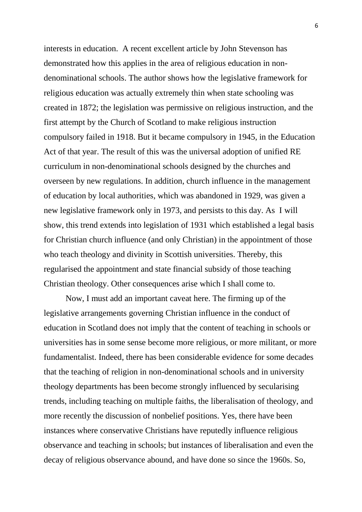interests in education. A recent excellent article by John Stevenson has demonstrated how this applies in the area of religious education in nondenominational schools. The author shows how the legislative framework for religious education was actually extremely thin when state schooling was created in 1872; the legislation was permissive on religious instruction, and the first attempt by the Church of Scotland to make religious instruction compulsory failed in 1918. But it became compulsory in 1945, in the Education Act of that year. The result of this was the universal adoption of unified RE curriculum in non-denominational schools designed by the churches and overseen by new regulations. In addition, church influence in the management of education by local authorities, which was abandoned in 1929, was given a new legislative framework only in 1973, and persists to this day. As I will show, this trend extends into legislation of 1931 which established a legal basis for Christian church influence (and only Christian) in the appointment of those who teach theology and divinity in Scottish universities. Thereby, this regularised the appointment and state financial subsidy of those teaching Christian theology. Other consequences arise which I shall come to.

Now, I must add an important caveat here. The firming up of the legislative arrangements governing Christian influence in the conduct of education in Scotland does not imply that the content of teaching in schools or universities has in some sense become more religious, or more militant, or more fundamentalist. Indeed, there has been considerable evidence for some decades that the teaching of religion in non-denominational schools and in university theology departments has been become strongly influenced by secularising trends, including teaching on multiple faiths, the liberalisation of theology, and more recently the discussion of nonbelief positions. Yes, there have been instances where conservative Christians have reputedly influence religious observance and teaching in schools; but instances of liberalisation and even the decay of religious observance abound, and have done so since the 1960s. So,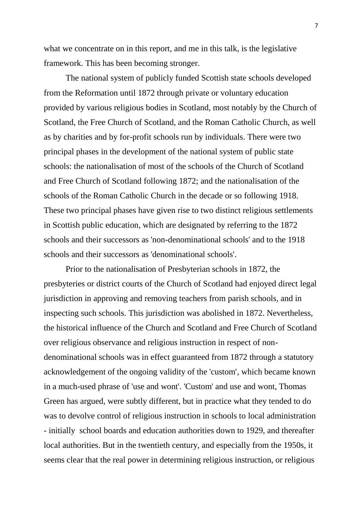what we concentrate on in this report, and me in this talk, is the legislative framework. This has been becoming stronger.

The national system of publicly funded Scottish state schools developed from the Reformation until 1872 through private or voluntary education provided by various religious bodies in Scotland, most notably by the Church of Scotland, the Free Church of Scotland, and the Roman Catholic Church, as well as by charities and by for-profit schools run by individuals. There were two principal phases in the development of the national system of public state schools: the nationalisation of most of the schools of the Church of Scotland and Free Church of Scotland following 1872; and the nationalisation of the schools of the Roman Catholic Church in the decade or so following 1918. These two principal phases have given rise to two distinct religious settlements in Scottish public education, which are designated by referring to the 1872 schools and their successors as 'non-denominational schools' and to the 1918 schools and their successors as 'denominational schools'.

Prior to the nationalisation of Presbyterian schools in 1872, the presbyteries or district courts of the Church of Scotland had enjoyed direct legal jurisdiction in approving and removing teachers from parish schools, and in inspecting such schools. This jurisdiction was abolished in 1872. Nevertheless, the historical influence of the Church and Scotland and Free Church of Scotland over religious observance and religious instruction in respect of nondenominational schools was in effect guaranteed from 1872 through a statutory acknowledgement of the ongoing validity of the 'custom', which became known in a much-used phrase of 'use and wont'. 'Custom' and use and wont, Thomas Green has argued, were subtly different, but in practice what they tended to do was to devolve control of religious instruction in schools to local administration - initially school boards and education authorities down to 1929, and thereafter local authorities. But in the twentieth century, and especially from the 1950s, it seems clear that the real power in determining religious instruction, or religious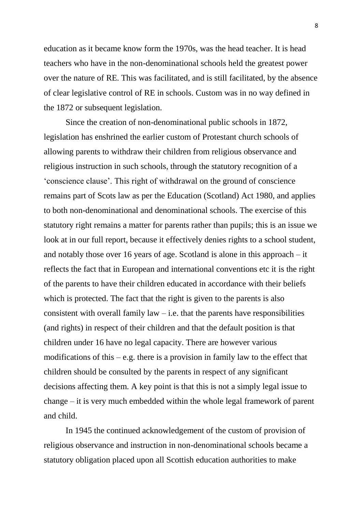education as it became know form the 1970s, was the head teacher. It is head teachers who have in the non-denominational schools held the greatest power over the nature of RE. This was facilitated, and is still facilitated, by the absence of clear legislative control of RE in schools. Custom was in no way defined in the 1872 or subsequent legislation.

Since the creation of non-denominational public schools in 1872, legislation has enshrined the earlier custom of Protestant church schools of allowing parents to withdraw their children from religious observance and religious instruction in such schools, through the statutory recognition of a 'conscience clause'. This right of withdrawal on the ground of conscience remains part of Scots law as per the Education (Scotland) Act 1980, and applies to both non-denominational and denominational schools. The exercise of this statutory right remains a matter for parents rather than pupils; this is an issue we look at in our full report, because it effectively denies rights to a school student, and notably those over 16 years of age. Scotland is alone in this approach – it reflects the fact that in European and international conventions etc it is the right of the parents to have their children educated in accordance with their beliefs which is protected. The fact that the right is given to the parents is also consistent with overall family  $law - i.e.$  that the parents have responsibilities (and rights) in respect of their children and that the default position is that children under 16 have no legal capacity. There are however various modifications of this – e.g. there is a provision in family law to the effect that children should be consulted by the parents in respect of any significant decisions affecting them. A key point is that this is not a simply legal issue to change – it is very much embedded within the whole legal framework of parent and child.

In 1945 the continued acknowledgement of the custom of provision of religious observance and instruction in non-denominational schools became a statutory obligation placed upon all Scottish education authorities to make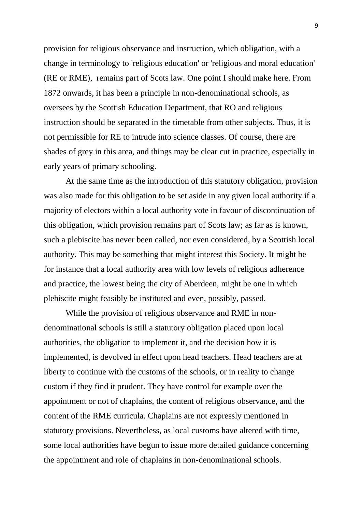provision for religious observance and instruction, which obligation, with a change in terminology to 'religious education' or 'religious and moral education' (RE or RME), remains part of Scots law. One point I should make here. From 1872 onwards, it has been a principle in non-denominational schools, as oversees by the Scottish Education Department, that RO and religious instruction should be separated in the timetable from other subjects. Thus, it is not permissible for RE to intrude into science classes. Of course, there are shades of grey in this area, and things may be clear cut in practice, especially in early years of primary schooling.

At the same time as the introduction of this statutory obligation, provision was also made for this obligation to be set aside in any given local authority if a majority of electors within a local authority vote in favour of discontinuation of this obligation, which provision remains part of Scots law; as far as is known, such a plebiscite has never been called, nor even considered, by a Scottish local authority. This may be something that might interest this Society. It might be for instance that a local authority area with low levels of religious adherence and practice, the lowest being the city of Aberdeen, might be one in which plebiscite might feasibly be instituted and even, possibly, passed.

While the provision of religious observance and RME in nondenominational schools is still a statutory obligation placed upon local authorities, the obligation to implement it, and the decision how it is implemented, is devolved in effect upon head teachers. Head teachers are at liberty to continue with the customs of the schools, or in reality to change custom if they find it prudent. They have control for example over the appointment or not of chaplains, the content of religious observance, and the content of the RME curricula. Chaplains are not expressly mentioned in statutory provisions. Nevertheless, as local customs have altered with time, some local authorities have begun to issue more detailed guidance concerning the appointment and role of chaplains in non-denominational schools.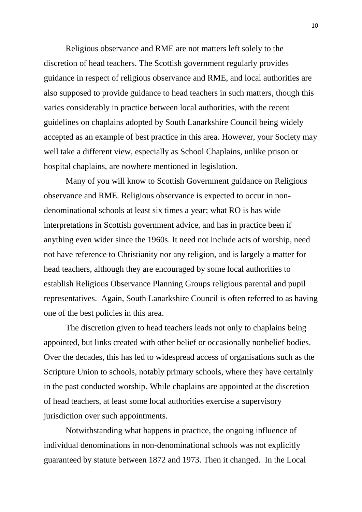Religious observance and RME are not matters left solely to the discretion of head teachers. The Scottish government regularly provides guidance in respect of religious observance and RME, and local authorities are also supposed to provide guidance to head teachers in such matters, though this varies considerably in practice between local authorities, with the recent guidelines on chaplains adopted by South Lanarkshire Council being widely accepted as an example of best practice in this area. However, your Society may well take a different view, especially as School Chaplains, unlike prison or hospital chaplains, are nowhere mentioned in legislation.

Many of you will know to Scottish Government guidance on Religious observance and RME. Religious observance is expected to occur in nondenominational schools at least six times a year; what RO is has wide interpretations in Scottish government advice, and has in practice been if anything even wider since the 1960s. It need not include acts of worship, need not have reference to Christianity nor any religion, and is largely a matter for head teachers, although they are encouraged by some local authorities to establish Religious Observance Planning Groups religious parental and pupil representatives. Again, South Lanarkshire Council is often referred to as having one of the best policies in this area.

The discretion given to head teachers leads not only to chaplains being appointed, but links created with other belief or occasionally nonbelief bodies. Over the decades, this has led to widespread access of organisations such as the Scripture Union to schools, notably primary schools, where they have certainly in the past conducted worship. While chaplains are appointed at the discretion of head teachers, at least some local authorities exercise a supervisory jurisdiction over such appointments.

Notwithstanding what happens in practice, the ongoing influence of individual denominations in non-denominational schools was not explicitly guaranteed by statute between 1872 and 1973. Then it changed. In the Local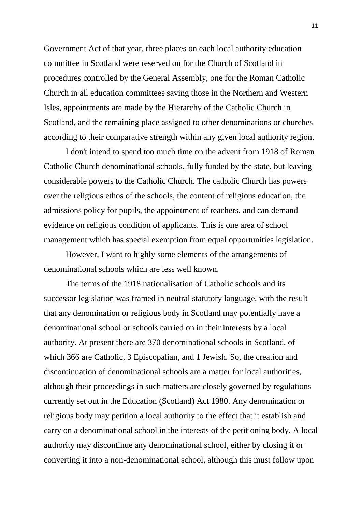Government Act of that year, three places on each local authority education committee in Scotland were reserved on for the Church of Scotland in procedures controlled by the General Assembly, one for the Roman Catholic Church in all education committees saving those in the Northern and Western Isles, appointments are made by the Hierarchy of the Catholic Church in Scotland, and the remaining place assigned to other denominations or churches according to their comparative strength within any given local authority region.

I don't intend to spend too much time on the advent from 1918 of Roman Catholic Church denominational schools, fully funded by the state, but leaving considerable powers to the Catholic Church. The catholic Church has powers over the religious ethos of the schools, the content of religious education, the admissions policy for pupils, the appointment of teachers, and can demand evidence on religious condition of applicants. This is one area of school management which has special exemption from equal opportunities legislation.

However, I want to highly some elements of the arrangements of denominational schools which are less well known.

The terms of the 1918 nationalisation of Catholic schools and its successor legislation was framed in neutral statutory language, with the result that any denomination or religious body in Scotland may potentially have a denominational school or schools carried on in their interests by a local authority. At present there are 370 denominational schools in Scotland, of which 366 are Catholic, 3 Episcopalian, and 1 Jewish. So, the creation and discontinuation of denominational schools are a matter for local authorities, although their proceedings in such matters are closely governed by regulations currently set out in the Education (Scotland) Act 1980. Any denomination or religious body may petition a local authority to the effect that it establish and carry on a denominational school in the interests of the petitioning body. A local authority may discontinue any denominational school, either by closing it or converting it into a non-denominational school, although this must follow upon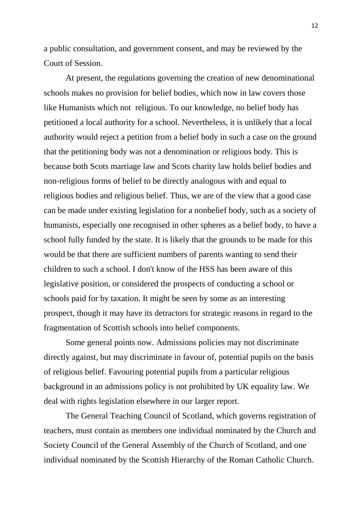a public consultation, and government consent, and may be reviewed by the Court of Session.

At present, the regulations governing the creation of new denominational schools makes no provision for belief bodies, which now in law covers those like Humanists which not religious. To our knowledge, no belief body has petitioned a local authority for a school. Nevertheless, it is unlikely that a local authority would reject a petition from a belief body in such a case on the ground that the petitioning body was not a denomination or religious body. This is because both Scots marriage law and Scots charity law holds belief bodies and non-religious forms of belief to be directly analogous with and equal to religious bodies and religious belief. Thus, we are of the view that a good case can be made under existing legislation for a nonbelief body, such as a society of humanists, especially one recognised in other spheres as a belief body, to have a school fully funded by the state. It is likely that the grounds to be made for this would be that there are sufficient numbers of parents wanting to send their children to such a school. I don't know of the HSS has been aware of this legislative position, or considered the prospects of conducting a school or schools paid for by taxation. It might be seen by some as an interesting prospect, though it may have its detractors for strategic reasons in regard to the fragmentation of Scottish schools into belief components.

Some general points now. Admissions policies may not discriminate directly against, but may discriminate in favour of, potential pupils on the basis of religious belief. Favouring potential pupils from a particular religious background in an admissions policy is not prohibited by UK equality law. We deal with rights legislation elsewhere in our larger report.

The General Teaching Council of Scotland, which governs registration of teachers, must contain as members one individual nominated by the Church and Society Council of the General Assembly of the Church of Scotland, and one individual nominated by the Scottish Hierarchy of the Roman Catholic Church.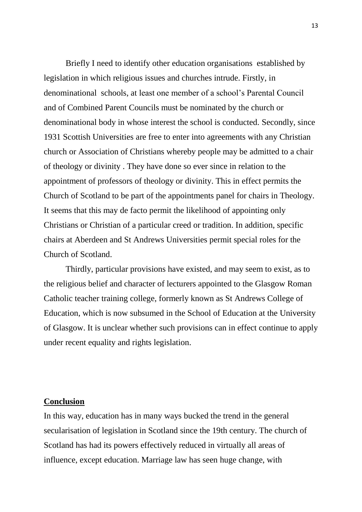Briefly I need to identify other education organisations established by legislation in which religious issues and churches intrude. Firstly, in denominational schools, at least one member of a school's Parental Council and of Combined Parent Councils must be nominated by the church or denominational body in whose interest the school is conducted. Secondly, since 1931 Scottish Universities are free to enter into agreements with any Christian church or Association of Christians whereby people may be admitted to a chair of theology or divinity . They have done so ever since in relation to the appointment of professors of theology or divinity. This in effect permits the Church of Scotland to be part of the appointments panel for chairs in Theology. It seems that this may de facto permit the likelihood of appointing only Christians or Christian of a particular creed or tradition. In addition, specific chairs at Aberdeen and St Andrews Universities permit special roles for the Church of Scotland.

Thirdly, particular provisions have existed, and may seem to exist, as to the religious belief and character of lecturers appointed to the Glasgow Roman Catholic teacher training college, formerly known as St Andrews College of Education, which is now subsumed in the School of Education at the University of Glasgow. It is unclear whether such provisions can in effect continue to apply under recent equality and rights legislation.

### **Conclusion**

In this way, education has in many ways bucked the trend in the general secularisation of legislation in Scotland since the 19th century. The church of Scotland has had its powers effectively reduced in virtually all areas of influence, except education. Marriage law has seen huge change, with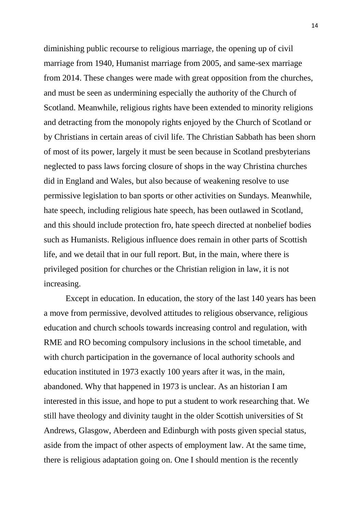diminishing public recourse to religious marriage, the opening up of civil marriage from 1940, Humanist marriage from 2005, and same-sex marriage from 2014. These changes were made with great opposition from the churches, and must be seen as undermining especially the authority of the Church of Scotland. Meanwhile, religious rights have been extended to minority religions and detracting from the monopoly rights enjoyed by the Church of Scotland or by Christians in certain areas of civil life. The Christian Sabbath has been shorn of most of its power, largely it must be seen because in Scotland presbyterians neglected to pass laws forcing closure of shops in the way Christina churches did in England and Wales, but also because of weakening resolve to use permissive legislation to ban sports or other activities on Sundays. Meanwhile, hate speech, including religious hate speech, has been outlawed in Scotland, and this should include protection fro, hate speech directed at nonbelief bodies such as Humanists. Religious influence does remain in other parts of Scottish life, and we detail that in our full report. But, in the main, where there is privileged position for churches or the Christian religion in law, it is not increasing.

Except in education. In education, the story of the last 140 years has been a move from permissive, devolved attitudes to religious observance, religious education and church schools towards increasing control and regulation, with RME and RO becoming compulsory inclusions in the school timetable, and with church participation in the governance of local authority schools and education instituted in 1973 exactly 100 years after it was, in the main, abandoned. Why that happened in 1973 is unclear. As an historian I am interested in this issue, and hope to put a student to work researching that. We still have theology and divinity taught in the older Scottish universities of St Andrews, Glasgow, Aberdeen and Edinburgh with posts given special status, aside from the impact of other aspects of employment law. At the same time, there is religious adaptation going on. One I should mention is the recently